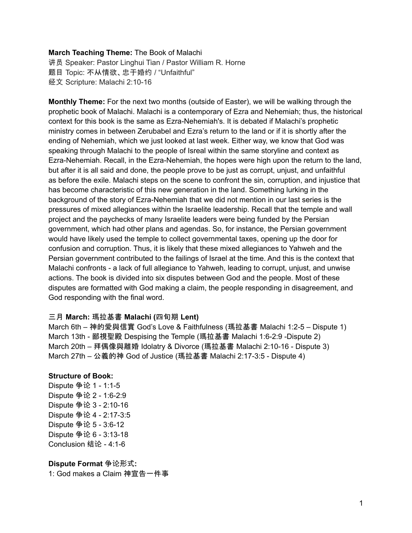#### **March Teaching Theme:** The Book of Malachi

讲员 Speaker: Pastor Linghui Tian / Pastor William R. Horne 题目 Topic: 不从情欲、忠于婚约 / "Unfaithful" 经文 Scripture: Malachi 2:10-16

**Monthly Theme:** For the next two months (outside of Easter), we will be walking through the prophetic book of Malachi. Malachi is a contemporary of Ezra and Nehemiah; thus, the historical context for this book is the same as Ezra-Nehemiah's. It is debated if Malachi's prophetic ministry comes in between Zerubabel and Ezra's return to the land or if it is shortly after the ending of Nehemiah, which we just looked at last week. Either way, we know that God was speaking through Malachi to the people of Isreal within the same storyline and context as Ezra-Nehemiah. Recall, in the Ezra-Nehemiah, the hopes were high upon the return to the land, but after it is all said and done, the people prove to be just as corrupt, unjust, and unfaithful as before the exile. Malachi steps on the scene to confront the sin, corruption, and injustice that has become characteristic of this new generation in the land. Something lurking in the background of the story of Ezra-Nehemiah that we did not mention in our last series is the pressures of mixed allegiances within the Israelite leadership. Recall that the temple and wall project and the paychecks of many Israelite leaders were being funded by the Persian government, which had other plans and agendas. So, for instance, the Persian government would have likely used the temple to collect governmental taxes, opening up the door for confusion and corruption. Thus, it is likely that these mixed allegiances to Yahweh and the Persian government contributed to the failings of Israel at the time. And this is the context that Malachi confronts - a lack of full allegiance to Yahweh, leading to corrupt, unjust, and unwise actions. The book is divided into six disputes between God and the people. Most of these disputes are formatted with God making a claim, the people responding in disagreement, and God responding with the final word.

#### 三月 **March:** 瑪拉基書 **Malachi (**四旬期 **Lent)**

March 6th – 神的愛與信實 God's Love & Faithfulness (瑪拉基書 Malachi 1:2-5 – Dispute 1) March 13th - 鄙視聖殿 Despising the Temple (瑪拉基書 Malachi 1:6-2:9 -Dispute 2) March 20th – 拜偶像與離婚 Idolatry & Divorce (瑪拉基書 Malachi 2:10-16 - Dispute 3) March 27th – 公義的神 God of Justice (瑪拉基書 Malachi 2:17-3:5 - Dispute 4)

#### **Structure of Book:**

Dispute 争论 1 - 1:1-5 Dispute 争论 2 - 1:6-2:9 Dispute 争论 3 - 2:10-16 Dispute 争论 4 - 2:17-3:5 Dispute 争论 5 - 3:6-12 Dispute 争论 6 - 3:13-18 Conclusion 结论 - 4:1-6

**Dispute Format** 争论形式**:** 1: God makes a Claim 神宣告一件事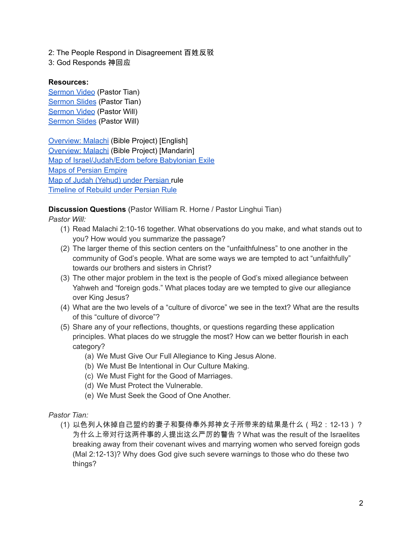2: The People Respond in Disagreement 百姓反驳

3: God Responds 神回应

### **Resources:**

[Sermon](https://youtu.be/p7sGqvZhS9U?t=4357) Video (Pastor Tian) [Sermon](https://docs.google.com/presentation/d/1WmQ08JFAmupxgp_7Fv8AaXBSSQ6tulww/edit?usp=sharing&ouid=111022305003760555164&rtpof=true&sd=true) Slides (Pastor Tian) [Sermon](https://www.youtube.com/watch?v=PDQvmYqNDxU&t=225s) Video (Pastor Will) [Sermon](https://docs.google.com/presentation/d/1sQa9vrDsVRu11H6yHQI_uf4GhxUSFpbUXVrq6e0XX-o/edit?usp=sharing) Slides (Pastor Will)

[Overview:](https://bibleproject.com/explore/video/malachi/) Malachi (Bible Project) [English] [Overview:](https://www.youtube.com/watch?v=8T57vKj-Ix8&list=PLE-R0uydm0uN0xKD3tw0aheiQojlf1JB1&index=29) Malachi (Bible Project) [Mandarin] Map of [Israel/Judah/Edom](https://docs.google.com/presentation/d/1tFqR--i8vR65UNcydtMDcN0P1IocObGP6zsQPzodJvg/edit?usp=sharing) before Babylonian Exile Maps of [Persian](https://docs.google.com/presentation/d/1etJFccQZX3MryDbRrS1s5n6bjpYFgUOYwQ4VQG_JuV4/edit?usp=sharing) Empire Map of Judah [\(Yehud\)](https://docs.google.com/presentation/d/1B-jPxAPFXvR-dkqLLivyckb0uZtp_PYXSNJsG_iepRA/edit?usp=sharing) under Persian rule [Timeline](https://docs.google.com/presentation/d/1pivSiquO322iIeBUBqD0yGXiqO8ft5FlPvqLRck4eek/edit?usp=sharing) of Rebuild under Persian Rule

**Discussion Questions** (Pastor William R. Horne / Pastor Linghui Tian)

*Pastor Will:*

- (1) Read Malachi 2:10-16 together. What observations do you make, and what stands out to you? How would you summarize the passage?
- (2) The larger theme of this section centers on the "unfaithfulness" to one another in the community of God's people. What are some ways we are tempted to act "unfaithfully" towards our brothers and sisters in Christ?
- (3) The other major problem in the text is the people of God's mixed allegiance between Yahweh and "foreign gods." What places today are we tempted to give our allegiance over King Jesus?
- (4) What are the two levels of a "culture of divorce" we see in the text? What are the results of this "culture of divorce"?
- (5) Share any of your reflections, thoughts, or questions regarding these application principles. What places do we struggle the most? How can we better flourish in each category?
	- (a) We Must Give Our Full Allegiance to King Jesus Alone.
	- (b) We Must Be Intentional in Our Culture Making.
	- (c) We Must Fight for the Good of Marriages.
	- (d) We Must Protect the Vulnerable.
	- (e) We Must Seek the Good of One Another.

# *Pastor Tian:*

(1) 以色列人休掉自己盟约的妻子和娶侍奉外邦神女子所带来的结果是什么(玛2:12-13)? 为什么上帝对行这两件事的人提出这么严厉的警告?What was the result of the Israelites breaking away from their covenant wives and marrying women who served foreign gods (Mal 2:12-13)? Why does God give such severe warnings to those who do these two things?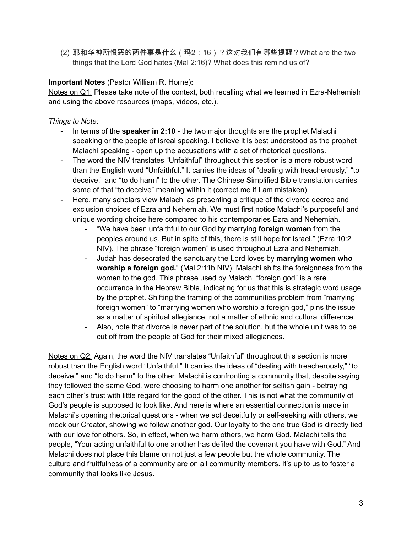(2) 耶和华神所恨恶的两件事是什么(玛2:16)?这对我们有哪些提醒?What are the two things that the Lord God hates (Mal 2:16)? What does this remind us of?

# **Important Notes** (Pastor William R. Horne)**:**

Notes on Q1: Please take note of the context, both recalling what we learned in Ezra-Nehemiah and using the above resources (maps, videos, etc.).

# *Things to Note:*

- In terms of the **speaker in 2:10** the two major thoughts are the prophet Malachi speaking or the people of Isreal speaking. I believe it is best understood as the prophet Malachi speaking - open up the accusations with a set of rhetorical questions.
- The word the NIV translates "Unfaithful" throughout this section is a more robust word than the English word "Unfaithful." It carries the ideas of "dealing with treacherously," "to deceive," and "to do harm" to the other. The Chinese Simplified Bible translation carries some of that "to deceive" meaning within it (correct me if I am mistaken).
- Here, many scholars view Malachi as presenting a critique of the divorce decree and exclusion choices of Ezra and Nehemiah. We must first notice Malachi's purposeful and unique wording choice here compared to his contemporaries Ezra and Nehemiah.
	- "We have been unfaithful to our God by marrying **foreign women** from the peoples around us. But in spite of this, there is still hope for Israel." (Ezra 10:2 NIV). The phrase "foreign women" is used throughout Ezra and Nehemiah.
	- Judah has desecrated the sanctuary the Lord loves by **marrying women who worship a foreign god.**" (Mal 2:11b NIV). Malachi shifts the foreignness from the women to the god. This phrase used by Malachi "foreign god" is a rare occurrence in the Hebrew Bible, indicating for us that this is strategic word usage by the prophet. Shifting the framing of the communities problem from "marrying foreign women" to "marrying women who worship a foreign god," pins the issue as a matter of spiritual allegiance, not a matter of ethnic and cultural difference.
	- Also, note that divorce is never part of the solution, but the whole unit was to be cut off from the people of God for their mixed allegiances.

Notes on Q2: Again, the word the NIV translates "Unfaithful" throughout this section is more robust than the English word "Unfaithful." It carries the ideas of "dealing with treacherously," "to deceive," and "to do harm" to the other. Malachi is confronting a community that, despite saying they followed the same God, were choosing to harm one another for selfish gain - betraying each other's trust with little regard for the good of the other. This is not what the community of God's people is supposed to look like. And here is where an essential connection is made in Malachi's opening rhetorical questions - when we act deceitfully or self-seeking with others, we mock our Creator, showing we follow another god. Our loyalty to the one true God is directly tied with our love for others. So, in effect, when we harm others, we harm God. Malachi tells the people, "Your acting unfaithful to one another has defiled the covenant you have with God." And Malachi does not place this blame on not just a few people but the whole community. The culture and fruitfulness of a community are on all community members. It's up to us to foster a community that looks like Jesus.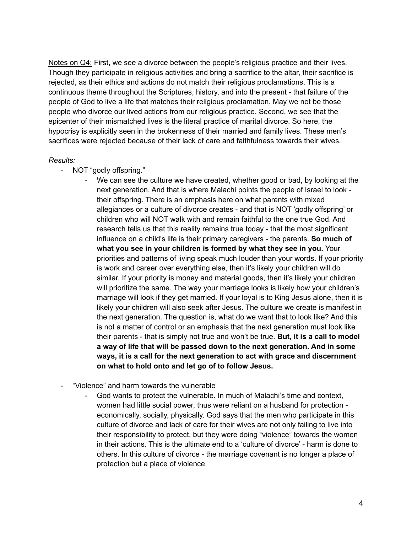Notes on Q4: First, we see a divorce between the people's religious practice and their lives. Though they participate in religious activities and bring a sacrifice to the altar, their sacrifice is rejected, as their ethics and actions do not match their religious proclamations. This is a continuous theme throughout the Scriptures, history, and into the present - that failure of the people of God to live a life that matches their religious proclamation. May we not be those people who divorce our lived actions from our religious practice. Second, we see that the epicenter of their mismatched lives is the literal practice of marital divorce. So here, the hypocrisy is explicitly seen in the brokenness of their married and family lives. These men's sacrifices were rejected because of their lack of care and faithfulness towards their wives.

### *Results:*

- NOT "godly offspring."
	- We can see the culture we have created, whether good or bad, by looking at the next generation. And that is where Malachi points the people of Israel to look their offspring. There is an emphasis here on what parents with mixed allegiances or a culture of divorce creates - and that is NOT 'godly offspring' or children who will NOT walk with and remain faithful to the one true God. And research tells us that this reality remains true today - that the most significant influence on a child's life is their primary caregivers - the parents. **So much of what you see in your children is formed by what they see in you.** Your priorities and patterns of living speak much louder than your words. If your priority is work and career over everything else, then it's likely your children will do similar. If your priority is money and material goods, then it's likely your children will prioritize the same. The way your marriage looks is likely how your children's marriage will look if they get married. If your loyal is to King Jesus alone, then it is likely your children will also seek after Jesus. The culture we create is manifest in the next generation. The question is, what do we want that to look like? And this is not a matter of control or an emphasis that the next generation must look like their parents - that is simply not true and won't be true. **But, it is a call to model a way of life that will be passed down to the next generation. And in some ways, it is a call for the next generation to act with grace and discernment on what to hold onto and let go of to follow Jesus.**
- "Violence" and harm towards the vulnerable
	- God wants to protect the vulnerable. In much of Malachi's time and context, women had little social power, thus were reliant on a husband for protection economically, socially, physically. God says that the men who participate in this culture of divorce and lack of care for their wives are not only failing to live into their responsibility to protect, but they were doing "violence" towards the women in their actions. This is the ultimate end to a 'culture of divorce' - harm is done to others. In this culture of divorce - the marriage covenant is no longer a place of protection but a place of violence.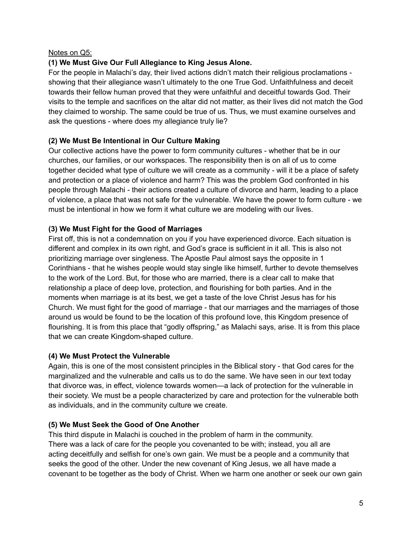### Notes on Q5:

# **(1) We Must Give Our Full Allegiance to King Jesus Alone.**

For the people in Malachi's day, their lived actions didn't match their religious proclamations showing that their allegiance wasn't ultimately to the one True God. Unfaithfulness and deceit towards their fellow human proved that they were unfaithful and deceitful towards God. Their visits to the temple and sacrifices on the altar did not matter, as their lives did not match the God they claimed to worship. The same could be true of us. Thus, we must examine ourselves and ask the questions - where does my allegiance truly lie?

# **(2) We Must Be Intentional in Our Culture Making**

Our collective actions have the power to form community cultures - whether that be in our churches, our families, or our workspaces. The responsibility then is on all of us to come together decided what type of culture we will create as a community - will it be a place of safety and protection or a place of violence and harm? This was the problem God confronted in his people through Malachi - their actions created a culture of divorce and harm, leading to a place of violence, a place that was not safe for the vulnerable. We have the power to form culture - we must be intentional in how we form it what culture we are modeling with our lives.

# **(3) We Must Fight for the Good of Marriages**

First off, this is not a condemnation on you if you have experienced divorce. Each situation is different and complex in its own right, and God's grace is sufficient in it all. This is also not prioritizing marriage over singleness. The Apostle Paul almost says the opposite in 1 Corinthians - that he wishes people would stay single like himself, further to devote themselves to the work of the Lord. But, for those who are married, there is a clear call to make that relationship a place of deep love, protection, and flourishing for both parties. And in the moments when marriage is at its best, we get a taste of the love Christ Jesus has for his Church. We must fight for the good of marriage - that our marriages and the marriages of those around us would be found to be the location of this profound love, this Kingdom presence of flourishing. It is from this place that "godly offspring," as Malachi says, arise. It is from this place that we can create Kingdom-shaped culture.

# **(4) We Must Protect the Vulnerable**

Again, this is one of the most consistent principles in the Biblical story - that God cares for the marginalized and the vulnerable and calls us to do the same. We have seen in our text today that divorce was, in effect, violence towards women—a lack of protection for the vulnerable in their society. We must be a people characterized by care and protection for the vulnerable both as individuals, and in the community culture we create.

# **(5) We Must Seek the Good of One Another**

This third dispute in Malachi is couched in the problem of harm in the community. There was a lack of care for the people you covenanted to be with; instead, you all are acting deceitfully and selfish for one's own gain. We must be a people and a community that seeks the good of the other. Under the new covenant of King Jesus, we all have made a covenant to be together as the body of Christ. When we harm one another or seek our own gain